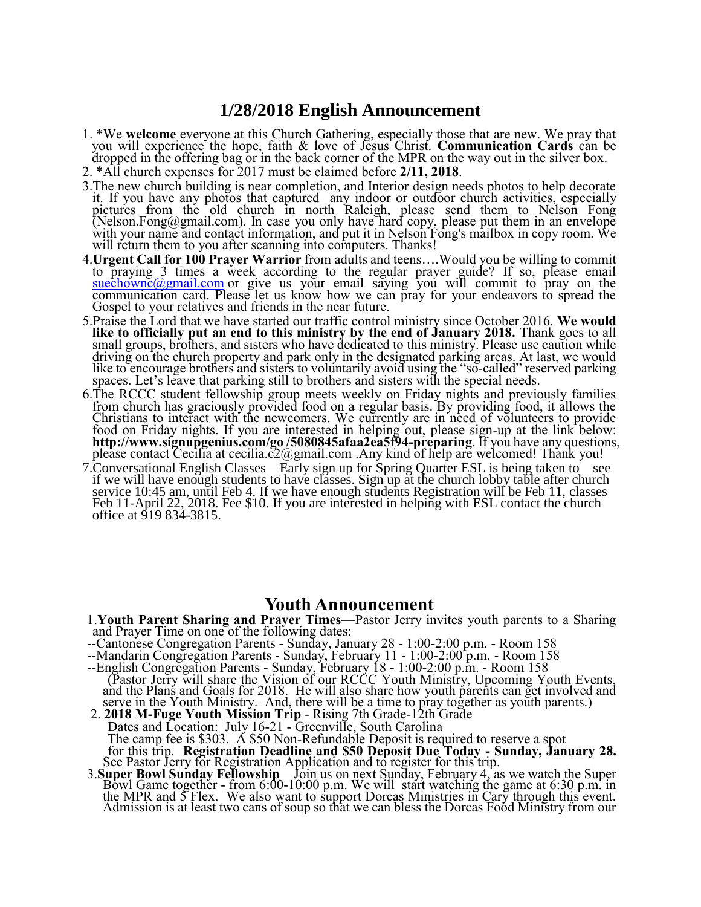# **1/28/2018 English Announcement**

- 1. \*We **welcome** everyone at this Church Gathering, especially those that are new. We pray that you will experience the hope, faith & love of Jesus Christ. **Communication Cards** can be dropped in the offering bag or in the back corner of the MPR on the way out in the silver box.
- 2. \*All church expenses for 2017 must be claimed before **2/11, 2018**.
- 3.The new church building is near completion, and Interior design needs photos to help decorate it. If you have any photos that captured any indoor or outdoor church activities, especially pictures from the old church in north Raleigh, please send them to Nelson Fong (Nelson.Fong@gmail.com). In case you only have hard copy, please put them in an envelope with your name and contact information, and put it in Nelson Fong's mailbox in copy room. We will return them to you after scanning into computers. Thanks!
- 4.**Urgent Call for 100 Prayer Warrior** from adults and teens….Would you be willing to commit to praying 3 times a week according to the regular prayer guide? If so, please email  $suechownc@gmail.com$  or give us your email saying you will commit to pray on the communication card. Please let us know how we can pray for your endeavors to spread the Gospel to your relatives and friends in the near future.
- 5.Praise the Lord that we have started our traffic control ministry since October 2016. **We would like to officially put an end to this ministry by the end of January 2018.** Thank goes to all small groups, brothers, and sisters who have dedicated to this ministry. Please use caution while driving on the church property and park only in the designated parking areas. At last, we would like to encourage brothers and sisters to voluntarily avoid using the "so-called" reserved parking spaces. Let's leave that parking still to brothers and sisters with the special needs.
- 6.The RCCC student fellowship group meets weekly on Friday nights and previously families from church has graciously provided food on a regular basis. By providing food, it allows the Christians to interact with the newcomers. We currently are in need of volunteers to provide food on Friday nights. If you are interested in helping out, please sign-up at the link below: **http://www.signupgenius.com/go /5080845afaa2ea5f94-preparing**. If you have any questions, please contact Cecilia at cecilia.c $2$ @gmail.com .Any kind of help are welcomed! Thank you!
- 7.Conversational English Classes—Early sign up for Spring Quarter ESL is being taken to see if we will have enough students to have classes. Sign up at the church lobby table after church service 10:45 am, until Feb 4. If we have enough students Registration will be Feb 11, classes Feb 11-April 22, 2018. Fee \$10. If you are interested in helping with ESL contact the church office at 919 834-3815.

### **Youth Announcement**

- 1.**Youth Parent Sharing and Prayer Times**—Pastor Jerry invites youth parents to a Sharing and Prayer Time on one of the following dates:
- --Cantonese Congregation Parents Sunday, January 28 1:00-2:00 p.m. Room 158
- --Mandarin Congregation Parents Sunday, February 11 1:00-2:00 p.m. Room 158
- --English Congregation Parents Sunday, February 18 1:00-2:00 p.m. Room 158 (Pastor Jerry will share the Vision of our RCCC Youth Ministry, Upcoming Youth Events, and the Plans and Goals for 2018. He will also share how youth parents can get involved and serve in the Youth Ministry. And, there will be a time to pray together as youth parents.)
- 2. **2018 M-Fuge Youth Mission Trip**  Rising 7th Grade-12th Grade Dates and Location: July 16-21 - Greenville, South Carolina The camp fee is \$303. A \$50 Non-Refundable Deposit is required to reserve a spot for this trip. **Registration Deadline and \$50 Deposit Due Today - Sunday, January 28.**  See Pastor Jerry for Registration Application and to register for this trip.
- 3.**Super Bowl Sunday Fellowship**—Join us on next Sunday, February 4, as we watch the Super Bowl Game together - from 6:00-10:00 p.m. We will start watching the game at 6:30 p.m. in the MPR and 5 Flex. We also want to support Dorcas Ministries in Cary through this event. Admission is at least two cans of soup so that we can bless the Dorcas Food Ministry from our